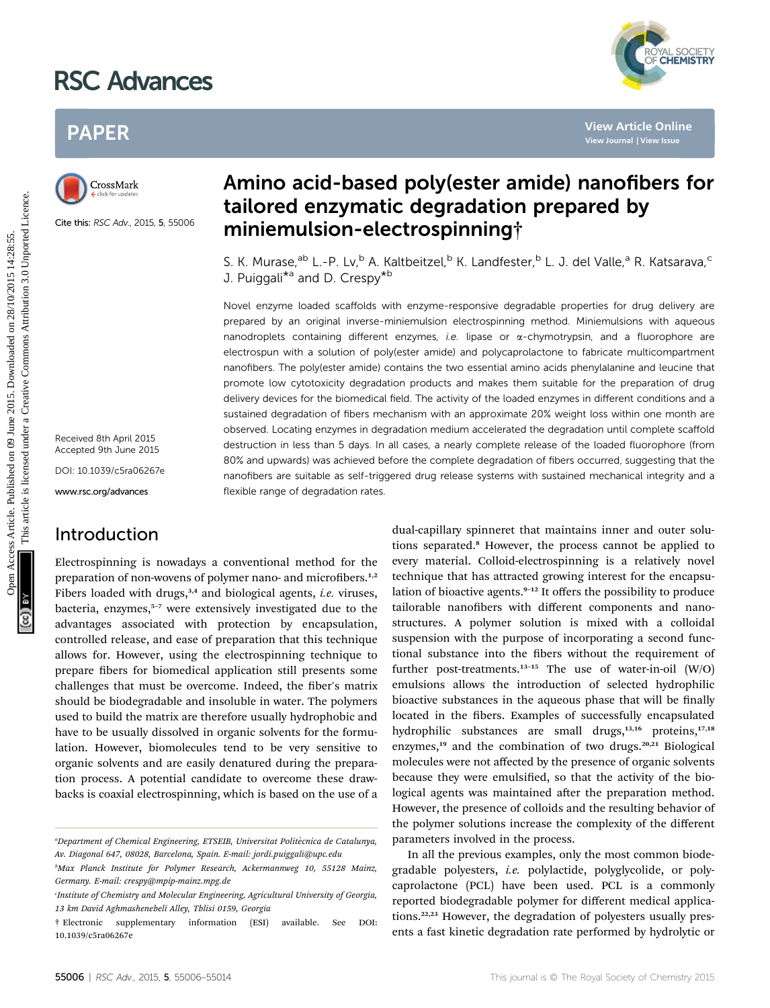# RSC Advances





Cite this: RSC Adv., 2015, 5, 55006

Received 8th April 2015 Accepted 9th June 2015 DOI: 10.1039/c5ra06267e

www.rsc.org/advances

# Introduction

Electrospinning is nowadays a conventional method for the preparation of non-wovens of polymer nano- and microfibers.<sup>1,2</sup> Fibers loaded with drugs, $3,4$  and biological agents, *i.e.* viruses, bacteria, enzymes,<sup>5-7</sup> were extensively investigated due to the advantages associated with protection by encapsulation, controlled release, and ease of preparation that this technique allows for. However, using the electrospinning technique to prepare fibers for biomedical application still presents some challenges that must be overcome. Indeed, the fiber's matrix should be biodegradable and insoluble in water. The polymers used to build the matrix are therefore usually hydrophobic and have to be usually dissolved in organic solvents for the formulation. However, biomolecules tend to be very sensitive to organic solvents and are easily denatured during the preparation process. A potential candidate to overcome these drawbacks is coaxial electrospinning, which is based on the use of a



YAL SOCIETY<br>**CHEMISTRY** 

S. K. Murase,<sup>ab</sup> L.-P. Lv,<sup>b</sup> A. Kaltbeitzel,<sup>b</sup> K. Landfester,<sup>b</sup> L. J. del Valle,<sup>a</sup> R. Katsarava,<sup>c</sup> J. Puiggali<sup>\*a</sup> and D. Crespy<sup>\*b</sup>

Novel enzyme loaded scaffolds with enzyme-responsive degradable properties for drug delivery are prepared by an original inverse-miniemulsion electrospinning method. Miniemulsions with aqueous nanodroplets containing different enzymes, i.e. lipase or  $\alpha$ -chymotrypsin, and a fluorophore are electrospun with a solution of poly(ester amide) and polycaprolactone to fabricate multicompartment nanofibers. The poly(ester amide) contains the two essential amino acids phenylalanine and leucine that promote low cytotoxicity degradation products and makes them suitable for the preparation of drug delivery devices for the biomedical field. The activity of the loaded enzymes in different conditions and a sustained degradation of fibers mechanism with an approximate 20% weight loss within one month are observed. Locating enzymes in degradation medium accelerated the degradation until complete scaffold destruction in less than 5 days. In all cases, a nearly complete release of the loaded fluorophore (from 80% and upwards) was achieved before the complete degradation of fibers occurred, suggesting that the nanofibers are suitable as self-triggered drug release systems with sustained mechanical integrity and a flexible range of degradation rates. PAPER<br>
Consideration of the control of the control of the control of the control of the control of the control of the control of the control of the control of the control of the control of the control of the control of th

dual-capillary spinneret that maintains inner and outer solutions separated.<sup>8</sup> However, the process cannot be applied to every material. Colloid-electrospinning is a relatively novel technique that has attracted growing interest for the encapsulation of bioactive agents.<sup>9-12</sup> It offers the possibility to produce tailorable nanofibers with different components and nanostructures. A polymer solution is mixed with a colloidal suspension with the purpose of incorporating a second functional substance into the fibers without the requirement of further post-treatments.<sup>13-15</sup> The use of water-in-oil  $(W/O)$ emulsions allows the introduction of selected hydrophilic bioactive substances in the aqueous phase that will be finally located in the fibers. Examples of successfully encapsulated hydrophilic substances are small drugs, $13,16$  proteins, $17,18$ enzymes, $19$  and the combination of two drugs. $20,21$  Biological molecules were not affected by the presence of organic solvents because they were emulsified, so that the activity of the biological agents was maintained after the preparation method. However, the presence of colloids and the resulting behavior of the polymer solutions increase the complexity of the different parameters involved in the process.

In all the previous examples, only the most common biodegradable polyesters, i.e. polylactide, polyglycolide, or polycaprolactone (PCL) have been used. PCL is a commonly reported biodegradable polymer for different medical applications.22,23 However, the degradation of polyesters usually presents a fast kinetic degradation rate performed by hydrolytic or

<sup>&</sup>quot;Department of Chemical Engineering, ETSEIB, Universitat Politècnica de Catalunya, Av. Diagonal 647, 08028, Barcelona, Spain. E-mail: jordi.puiggali@upc.edu

b Max Planck Institute for Polymer Research, Ackermannweg 10, 55128 Mainz, Germany. E-mail: crespy@mpip-mainz.mpg.de

Institute of Chemistry and Molecular Engineering, Agricultural University of Georgia, 13 km David Aghmashenebeli Alley, Tblisi 0159, Georgia

<sup>†</sup> Electronic supplementary information (ESI) available. See DOI: 10.1039/c5ra06267e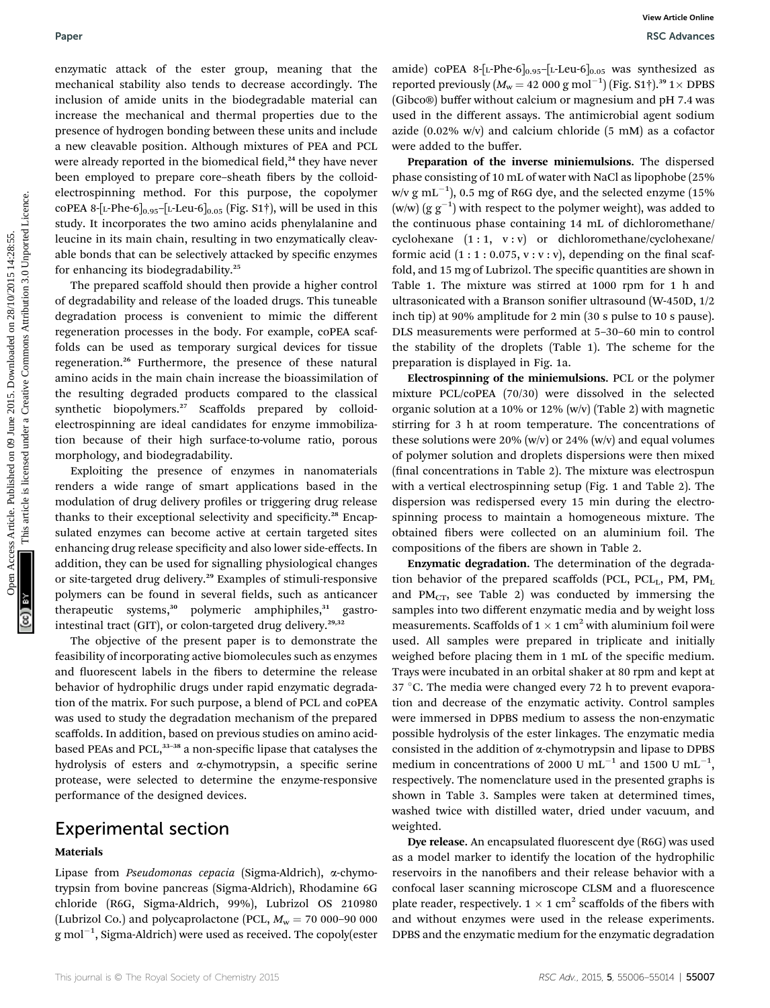enzymatic attack of the ester group, meaning that the mechanical stability also tends to decrease accordingly. The inclusion of amide units in the biodegradable material can increase the mechanical and thermal properties due to the presence of hydrogen bonding between these units and include a new cleavable position. Although mixtures of PEA and PCL were already reported in the biomedical field, $24$  they have never been employed to prepare core–sheath fibers by the colloidelectrospinning method. For this purpose, the copolymer coPEA 8-[L-Phe-6]<sub>0.95</sub>-[L-Leu-6]<sub>0.05</sub> (Fig. S1†), will be used in this study. It incorporates the two amino acids phenylalanine and leucine in its main chain, resulting in two enzymatically cleavable bonds that can be selectively attacked by specific enzymes for enhancing its biodegradability.<sup>25</sup> Paper<br>
Paper Workshop six order are group, meaning that the reported photographs of measurable in<br>the measurable of decome secondary the reported procedus ( $\mu_{\text{c}} = 1.0$  year and<br>
measure of bytest product the common of

The prepared scaffold should then provide a higher control of degradability and release of the loaded drugs. This tuneable degradation process is convenient to mimic the different regeneration processes in the body. For example, coPEA scaffolds can be used as temporary surgical devices for tissue regeneration.<sup>26</sup> Furthermore, the presence of these natural amino acids in the main chain increase the bioassimilation of the resulting degraded products compared to the classical synthetic biopolymers.<sup>27</sup> Scaffolds prepared by colloidelectrospinning are ideal candidates for enzyme immobilization because of their high surface-to-volume ratio, porous morphology, and biodegradability.

Exploiting the presence of enzymes in nanomaterials renders a wide range of smart applications based in the modulation of drug delivery profiles or triggering drug release thanks to their exceptional selectivity and specificity.<sup>28</sup> Encapsulated enzymes can become active at certain targeted sites enhancing drug release specificity and also lower side-effects. In addition, they can be used for signalling physiological changes or site-targeted drug delivery.<sup>29</sup> Examples of stimuli-responsive polymers can be found in several fields, such as anticancer therapeutic systems, $30$  polymeric amphiphiles, $31$  gastrointestinal tract (GIT), or colon-targeted drug delivery.<sup>29,32</sup>

The objective of the present paper is to demonstrate the feasibility of incorporating active biomolecules such as enzymes and fluorescent labels in the fibers to determine the release behavior of hydrophilic drugs under rapid enzymatic degradation of the matrix. For such purpose, a blend of PCL and coPEA was used to study the degradation mechanism of the prepared scaffolds. In addition, based on previous studies on amino acidbased PEAs and PCL,<sup>33-38</sup> a non-specific lipase that catalyses the hydrolysis of esters and  $\alpha$ -chymotrypsin, a specific serine protease, were selected to determine the enzyme-responsive performance of the designed devices.

# Experimental section

#### Materials

Lipase from *Pseudomonas cepacia* (Sigma-Aldrich),  $\alpha$ -chymotrypsin from bovine pancreas (Sigma-Aldrich), Rhodamine 6G chloride (R6G, Sigma-Aldrich, 99%), Lubrizol OS 210980 (Lubrizol Co.) and polycaprolactone (PCL,  $M_w = 70000-90000$ g mol $^{-1}$ , Sigma-Aldrich) were used as received. The copoly(ester

amide) coPEA 8-[L-Phe-6]<sub>0.95</sub>-[L-Leu-6]<sub>0.05</sub> was synthesized as reported previously ( $M_{\rm w}$  = 42 000 g mol<sup>-1</sup>) (Fig. S1†).<sup>39</sup> 1× DPBS (Gibco®) buffer without calcium or magnesium and pH 7.4 was used in the different assays. The antimicrobial agent sodium azide  $(0.02\%$  w/v) and calcium chloride  $(5 \text{ mM})$  as a cofactor were added to the buffer.

Preparation of the inverse miniemulsions. The dispersed phase consisting of 10 mL of water with NaCl as lipophobe (25% w/v g mL $^{-1}$ ), 0.5 mg of R6G dye, and the selected enzyme (15%  $(w/w)$  (g  $g^{-1}$ ) with respect to the polymer weight), was added to the continuous phase containing 14 mL of dichloromethane/ cyclohexane (1 : 1, v : v) or dichloromethane/cyclohexane/ formic acid  $(1:1:0.075, v:v:v)$ , depending on the final scaffold, and 15 mg of Lubrizol. The specific quantities are shown in Table 1. The mixture was stirred at 1000 rpm for 1 h and ultrasonicated with a Branson sonifier ultrasound (W-450D,  $1/2$ inch tip) at 90% amplitude for 2 min (30 s pulse to 10 s pause). DLS measurements were performed at 5–30–60 min to control the stability of the droplets (Table 1). The scheme for the preparation is displayed in Fig. 1a.

Electrospinning of the miniemulsions. PCL or the polymer mixture PCL/coPEA (70/30) were dissolved in the selected organic solution at a 10% or 12% (w/v) (Table 2) with magnetic stirring for 3 h at room temperature. The concentrations of these solutions were 20% (w/v) or 24% (w/v) and equal volumes of polymer solution and droplets dispersions were then mixed (final concentrations in Table 2). The mixture was electrospun with a vertical electrospinning setup (Fig. 1 and Table 2). The dispersion was redispersed every 15 min during the electrospinning process to maintain a homogeneous mixture. The obtained bers were collected on an aluminium foil. The compositions of the fibers are shown in Table 2.

Enzymatic degradation. The determination of the degradation behavior of the prepared scaffolds (PCL, PCL<sub>L</sub>, PM, PM<sub>L</sub> and PM $_{CT}$ , see Table 2) was conducted by immersing the samples into two different enzymatic media and by weight loss measurements. Scaffolds of  $1 \times 1$  cm<sup>2</sup> with aluminium foil were used. All samples were prepared in triplicate and initially weighed before placing them in 1 mL of the specific medium. Trays were incubated in an orbital shaker at 80 rpm and kept at  $37$  °C. The media were changed every 72 h to prevent evaporation and decrease of the enzymatic activity. Control samples were immersed in DPBS medium to assess the non-enzymatic possible hydrolysis of the ester linkages. The enzymatic media consisted in the addition of a-chymotrypsin and lipase to DPBS medium in concentrations of 2000 U mL<sup>-1</sup> and 1500 U mL<sup>-1</sup>, respectively. The nomenclature used in the presented graphs is shown in Table 3. Samples were taken at determined times, washed twice with distilled water, dried under vacuum, and weighted.

Dye release. An encapsulated fluorescent dye (R6G) was used as a model marker to identify the location of the hydrophilic reservoirs in the nanofibers and their release behavior with a confocal laser scanning microscope CLSM and a fluorescence plate reader, respectively.  $1 \times 1$  cm<sup>2</sup> scaffolds of the fibers with and without enzymes were used in the release experiments. DPBS and the enzymatic medium for the enzymatic degradation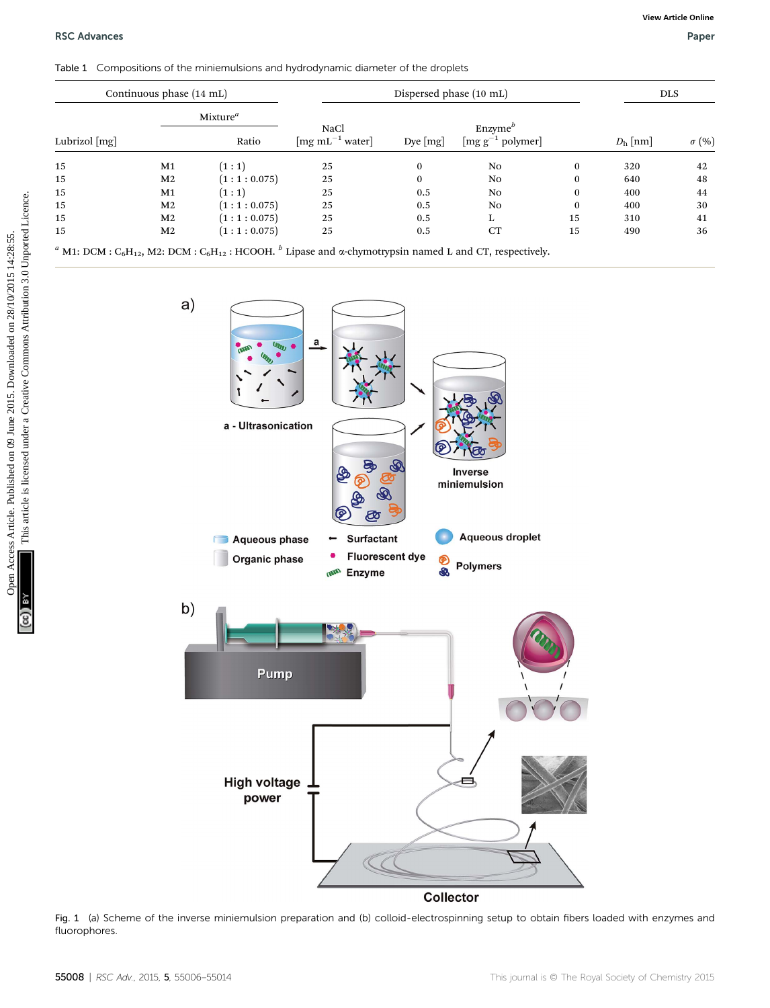#### Table 1 Compositions of the miniemulsions and hydrodynamic diameter of the droplets

| Continuous phase (14 mL) |                |                      |                                                        | Dispersed phase (10 mL) |                                               |          |                  | <b>DLS</b>   |
|--------------------------|----------------|----------------------|--------------------------------------------------------|-------------------------|-----------------------------------------------|----------|------------------|--------------|
|                          |                | Mixture <sup>a</sup> |                                                        |                         |                                               |          |                  |              |
| Lubrizol [mg]            |                | Ratio                | NaCl<br>$\left[\text{mg mL}^{-1} \text{ water}\right]$ | Dye [mg]                | Enzyme <sup>b</sup><br>[ $mg g^{-1}$ polymer] |          | $D_{\rm h}$ [nm] | $\sigma$ (%) |
| 15                       | M1             | (1:1)                | 25                                                     | $\Omega$                | No                                            | $\Omega$ | 320              | 42           |
| 15                       | M <sub>2</sub> | (1:1:0.075)          | 25                                                     | $\Omega$                | No                                            | 0        | 640              | 48           |
| 15                       | M1             | (1:1)                | 25                                                     | 0.5                     | No                                            | 0        | 400              | 44           |
| 15                       | M <sub>2</sub> | (1:1:0.075)          | 25                                                     | 0.5                     | N <sub>0</sub>                                | $\theta$ | 400              | 30           |
| 15                       | M <sub>2</sub> | (1:1:0.075)          | 25                                                     | 0.5                     | L                                             | 15       | 310              | 41           |
| 15                       | M <sub>2</sub> | (1:1:0.075)          | 25                                                     | 0.5                     | <b>CT</b>                                     | 15       | 490              | 36           |
| $\sim$                   |                | $\mathbf{z}$         |                                                        |                         |                                               |          |                  |              |

<sup>a</sup> M1: DCM : C<sub>6</sub>H<sub>12</sub>, M2: DCM : C<sub>6</sub>H<sub>12</sub> : HCOOH. <sup>b</sup> Lipase and  $\alpha$ -chymotrypsin named L and CT, respectively.



Fig. 1 (a) Scheme of the inverse miniemulsion preparation and (b) colloid-electrospinning setup to obtain fibers loaded with enzymes and fluorophores.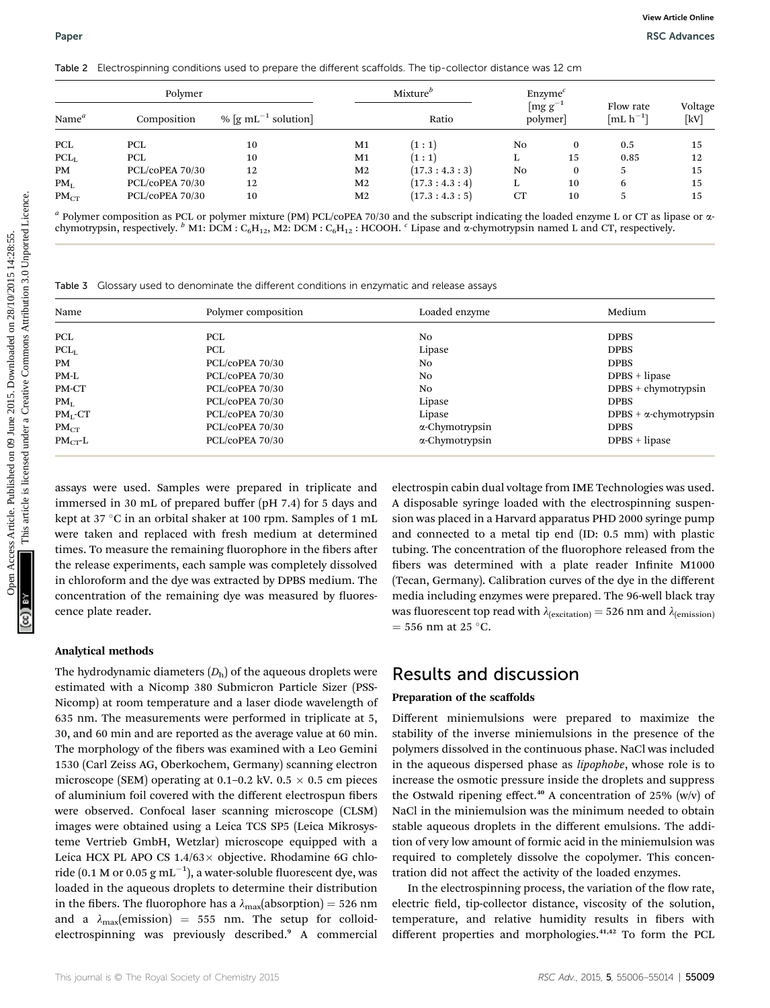|  |  |  |  |  |  | Table 2 Electrospinning conditions used to prepare the different scaffolds. The tip-collector distance was 12 cm |
|--|--|--|--|--|--|------------------------------------------------------------------------------------------------------------------|
|--|--|--|--|--|--|------------------------------------------------------------------------------------------------------------------|

| Polymer          |                 |                                                            |                | Mixture <sup>b</sup> | Enzyme <sup>c</sup>                        |    |                            |                 |
|------------------|-----------------|------------------------------------------------------------|----------------|----------------------|--------------------------------------------|----|----------------------------|-----------------|
| Name $^a$        | Composition     | % $\left[\text{g} \text{ mL}^{-1} \text{ solution}\right]$ |                | Ratio                | $\left[\text{mg g}^{-1}\right]$<br>polymer |    | Flow rate<br>$[ML h^{-1}]$ | Voltage<br>[kV] |
| PCL              | PCL             | 10                                                         | M1             | (1:1)                | N <sub>0</sub>                             |    | 0.5                        | 15              |
| PCL <sub>L</sub> | PCL             | 10                                                         | M1             | (1:1)                | L                                          | 15 | 0.85                       | 12              |
| PM               | PCL/coPEA 70/30 | 12                                                         | M <sub>2</sub> | (17.3:4.3:3)         | No                                         | 0  |                            | 15              |
| $PM_{L}$         | PCL/coPEA 70/30 | 12                                                         | M <sub>2</sub> | (17.3:4.3:4)         | L                                          | 10 | 6                          | 15              |
| $PM_{CT}$        | PCL/coPEA 70/30 | 10                                                         | M <sub>2</sub> | (17.3:4.3:5)         | <b>CT</b>                                  | 10 |                            | 15              |

 $a$  Polymer composition as PCL or polymer mixture (PM) PCL/coPEA 70/30 and the subscript indicating the loaded enzyme L or CT as lipase or  $\alpha$ chymotrypsin, respectively.  $b$  M1:  $DCM$  :  $C_6H_{12}$ , M2:  $DCM$  :  $C_6H_{12}$  : HCOOH.  $c$  Lipase and  $\alpha$ -chymotrypsin named L and CT, respectively.

|  | Table 3 Glossary used to denominate the different conditions in enzymatic and release assays |  |  |  |  |  |
|--|----------------------------------------------------------------------------------------------|--|--|--|--|--|
|--|----------------------------------------------------------------------------------------------|--|--|--|--|--|

|                                                                              | Polymer         |                                                                                              |                | Mixture <sup>b</sup>   | Enzyme <sup>c</sup><br>$\left[\text{mg g}^{-1}\right]$ |          | Flow rate                            | Voltage |
|------------------------------------------------------------------------------|-----------------|----------------------------------------------------------------------------------------------|----------------|------------------------|--------------------------------------------------------|----------|--------------------------------------|---------|
| Name $^a$                                                                    | Composition     | % $[g \text{ mL}^{-1}$ solution]                                                             |                | Ratio                  | polymer]                                               |          | $\left[\text{mL } h^{-1}\right]$     | [kV]    |
| PCL                                                                          | PCL             | 10                                                                                           | M1             | (1:1)                  | No                                                     | $\bf{0}$ | 0.5                                  | 15      |
| PCL <sub>L</sub>                                                             | PCL             | 10                                                                                           | M1             | (1:1)                  | L                                                      | 15       | 0.85                                 | 12      |
| PM                                                                           | PCL/coPEA 70/30 | 12                                                                                           | M <sub>2</sub> | (17.3:4.3:3)           | No                                                     | $\bf{0}$ | 5                                    | 15      |
| PM <sub>L</sub>                                                              | PCL/coPEA 70/30 | 12                                                                                           | M <sub>2</sub> | (17.3:4.3:4)           | г                                                      | 10       | 6                                    | 15      |
| $PM_{CT}$                                                                    | PCL/coPEA 70/30 | 10                                                                                           | M <sub>2</sub> | (17.3:4.3:5)           | CT                                                     | 10       | 5                                    | 15      |
|                                                                              |                 | Table 3 Glossary used to denominate the different conditions in enzymatic and release assays |                |                        |                                                        |          |                                      |         |
|                                                                              |                 | Polymer composition                                                                          |                | Loaded enzyme          |                                                        |          | Medium                               |         |
|                                                                              |                 | PCL                                                                                          |                | No                     |                                                        |          | <b>DPBS</b>                          |         |
|                                                                              |                 | PCL                                                                                          |                | Lipase                 |                                                        |          | <b>DPBS</b>                          |         |
|                                                                              |                 | PCL/coPEA 70/30                                                                              |                | No                     |                                                        |          | <b>DPBS</b>                          |         |
|                                                                              |                 | PCL/coPEA 70/30                                                                              |                | No                     |                                                        |          | $DPBS + lipase$                      |         |
|                                                                              |                 | PCL/coPEA 70/30<br>PCL/coPEA 70/30                                                           |                | No                     |                                                        |          | $DPBS + chymotrypsin$<br><b>DPBS</b> |         |
| Name<br>PCL<br>$PCL_L$<br>PM<br>PM-L<br>PM-CT<br>PM <sub>L</sub><br>$PML-CT$ |                 | PCL/coPEA 70/30                                                                              |                | Lipase<br>Lipase       |                                                        |          | DPBS + $\alpha$ -chymotrypsin        |         |
| $PM_{CT}$                                                                    |                 | PCL/coPEA 70/30                                                                              |                | $\alpha$ -Chymotrypsin |                                                        |          | <b>DPBS</b>                          |         |

assays were used. Samples were prepared in triplicate and immersed in 30 mL of prepared buffer (pH 7.4) for 5 days and kept at 37 °C in an orbital shaker at 100 rpm. Samples of 1 mL were taken and replaced with fresh medium at determined times. To measure the remaining fluorophore in the fibers after the release experiments, each sample was completely dissolved in chloroform and the dye was extracted by DPBS medium. The concentration of the remaining dye was measured by fluorescence plate reader.

#### Analytical methods

The hydrodynamic diameters  $(D<sub>h</sub>)$  of the aqueous droplets were estimated with a Nicomp 380 Submicron Particle Sizer (PSS-Nicomp) at room temperature and a laser diode wavelength of 635 nm. The measurements were performed in triplicate at 5, 30, and 60 min and are reported as the average value at 60 min. The morphology of the fibers was examined with a Leo Gemini 1530 (Carl Zeiss AG, Oberkochem, Germany) scanning electron microscope (SEM) operating at 0.1–0.2 kV. 0.5  $\times$  0.5 cm pieces of aluminium foil covered with the different electrospun fibers were observed. Confocal laser scanning microscope (CLSM) images were obtained using a Leica TCS SP5 (Leica Mikrosysteme Vertrieb GmbH, Wetzlar) microscope equipped with a Leica HCX PL APO CS  $1.4/63 \times$  objective. Rhodamine 6G chloride (0.1 M or 0.05  $\rm g\,mV^{-1})$ , a water-soluble fluorescent dye, was loaded in the aqueous droplets to determine their distribution in the fibers. The fluorophore has a  $\lambda_{\text{max}}$ (absorption) = 526 nm and a  $\lambda_{\text{max}}$ (emission) = 555 nm. The setup for colloidelectrospinning was previously described.<sup>9</sup> A commercial

electrospin cabin dual voltage from IME Technologies was used. A disposable syringe loaded with the electrospinning suspension was placed in a Harvard apparatus PHD 2000 syringe pump and connected to a metal tip end (ID: 0.5 mm) with plastic tubing. The concentration of the fluorophore released from the fibers was determined with a plate reader Infinite M1000 (Tecan, Germany). Calibration curves of the dye in the different media including enzymes were prepared. The 96-well black tray was fluorescent top read with  $\lambda_{(excitation)} = 526$  nm and  $\lambda_{(emission)}$  $=$  556 nm at 25 °C.

## Results and discussion

### Preparation of the scaffolds

Different miniemulsions were prepared to maximize the stability of the inverse miniemulsions in the presence of the polymers dissolved in the continuous phase. NaCl was included in the aqueous dispersed phase as lipophobe, whose role is to increase the osmotic pressure inside the droplets and suppress the Ostwald ripening effect.<sup>40</sup> A concentration of 25%  $(w/v)$  of NaCl in the miniemulsion was the minimum needed to obtain stable aqueous droplets in the different emulsions. The addition of very low amount of formic acid in the miniemulsion was required to completely dissolve the copolymer. This concentration did not affect the activity of the loaded enzymes.

In the electrospinning process, the variation of the flow rate, electric field, tip-collector distance, viscosity of the solution, temperature, and relative humidity results in fibers with different properties and morphologies.<sup>41,42</sup> To form the PCL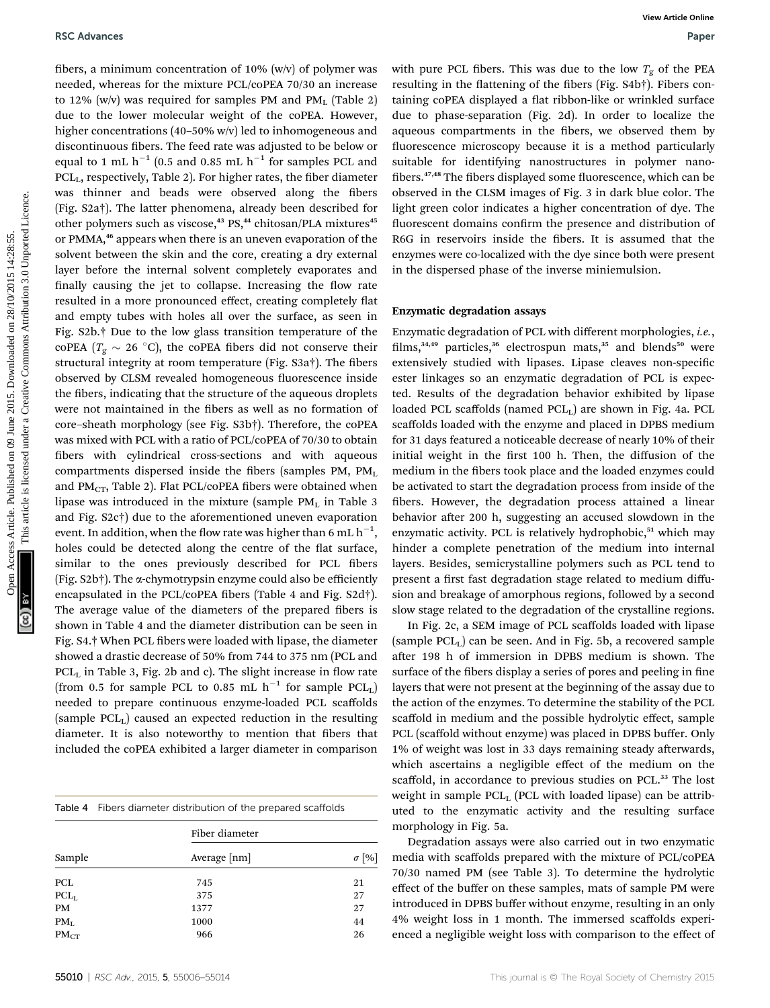fibers, a minimum concentration of 10%  $(w/v)$  of polymer was needed, whereas for the mixture PCL/coPEA 70/30 an increase to 12% (w/v) was required for samples PM and PM<sub>L</sub> (Table 2) due to the lower molecular weight of the coPEA. However, higher concentrations (40–50% w/v) led to inhomogeneous and discontinuous fibers. The feed rate was adjusted to be below or equal to 1 mL  $\rm h^{-1}$  (0.5 and 0.85 mL  $\rm h^{-1}$  for samples PCL and  $PCL<sub>L</sub>$ , respectively, Table 2). For higher rates, the fiber diameter was thinner and beads were observed along the fibers (Fig. S2a†). The latter phenomena, already been described for other polymers such as viscose,<sup>43</sup> PS,<sup>44</sup> chitosan/PLA mixtures<sup>45</sup> or PMMA,<sup>46</sup> appears when there is an uneven evaporation of the solvent between the skin and the core, creating a dry external layer before the internal solvent completely evaporates and finally causing the jet to collapse. Increasing the flow rate resulted in a more pronounced effect, creating completely flat and empty tubes with holes all over the surface, as seen in Fig. S2b.† Due to the low glass transition temperature of the coPEA ( $T_{g} \sim 26$  °C), the coPEA fibers did not conserve their structural integrity at room temperature (Fig. S3a†). The fibers observed by CLSM revealed homogeneous fluorescence inside the fibers, indicating that the structure of the aqueous droplets were not maintained in the fibers as well as no formation of core–sheath morphology (see Fig. S3b†). Therefore, the coPEA was mixed with PCL with a ratio of PCL/coPEA of 70/30 to obtain bers with cylindrical cross-sections and with aqueous compartments dispersed inside the fibers (samples PM, PML and PM $_{\text{CT}}$ , Table 2). Flat PCL/coPEA fibers were obtained when lipase was introduced in the mixture (sample  $PM<sub>L</sub>$  in Table 3 and Fig. S2c†) due to the aforementioned uneven evaporation event. In addition, when the flow rate was higher than 6 mL  $\rm h^{-1}$ , holes could be detected along the centre of the flat surface, similar to the ones previously described for PCL fibers (Fig. S2b†). The a-chymotrypsin enzyme could also be efficiently encapsulated in the PCL/coPEA fibers (Table 4 and Fig.  $S2d\dot{\uparrow}$ ). The average value of the diameters of the prepared fibers is shown in Table 4 and the diameter distribution can be seen in Fig. S4.† When PCL fibers were loaded with lipase, the diameter showed a drastic decrease of 50% from 744 to 375 nm (PCL and  $PCL<sub>L</sub>$  in Table 3, Fig. 2b and c). The slight increase in flow rate (from 0.5 for sample PCL to 0.85 mL  $h^{-1}$  for sample PCL<sub>L</sub>) needed to prepare continuous enzyme-loaded PCL scaffolds (sample  $PCL<sub>L</sub>$ ) caused an expected reduction in the resulting diameter. It is also noteworthy to mention that fibers that included the coPEA exhibited a larger diameter in comparison BSC Advances Computers Article (65) of polyner was with pare PCF diser. This was due to the low T<sub>p</sub> of the Placetod, arecess are forestant to change the matter of the first Disk. Disk. This are the matter in the common c

Table 4 Fibers diameter distribution of the prepared scaffolds

|                  | Fiber diameter       |              |
|------------------|----------------------|--------------|
| Sample           | Average ${\rm [nm]}$ | $\sigma$ [%] |
| PCL              | 745                  | 21           |
| PCL <sub>L</sub> | 375                  | 27           |
| PM               | 1377                 | 27           |
| PM <sub>L</sub>  | 1000                 | 44           |
| $PM_{CT}$        | 966                  | 26           |

with pure PCL fibers. This was due to the low  $T_g$  of the PEA resulting in the flattening of the fibers (Fig. S4b†). Fibers containing coPEA displayed a flat ribbon-like or wrinkled surface due to phase-separation (Fig. 2d). In order to localize the aqueous compartments in the fibers, we observed them by fluorescence microscopy because it is a method particularly suitable for identifying nanostructures in polymer nano fibers.<sup>47,48</sup> The fibers displayed some fluorescence, which can be observed in the CLSM images of Fig. 3 in dark blue color. The light green color indicates a higher concentration of dye. The fluorescent domains confirm the presence and distribution of R6G in reservoirs inside the fibers. It is assumed that the enzymes were co-localized with the dye since both were present in the dispersed phase of the inverse miniemulsion.

#### Enzymatic degradation assays

Enzymatic degradation of PCL with different morphologies, i.e., films, $34,49$  particles, $36$  electrospun mats, $35$  and blends $50$  were extensively studied with lipases. Lipase cleaves non-specific ester linkages so an enzymatic degradation of PCL is expected. Results of the degradation behavior exhibited by lipase loaded PCL scaffolds (named PCL<sub>L</sub>) are shown in Fig. 4a. PCL scaffolds loaded with the enzyme and placed in DPBS medium for 31 days featured a noticeable decrease of nearly 10% of their initial weight in the first 100 h. Then, the diffusion of the medium in the fibers took place and the loaded enzymes could be activated to start the degradation process from inside of the bers. However, the degradation process attained a linear behavior after 200 h, suggesting an accused slowdown in the enzymatic activity. PCL is relatively hydrophobic,<sup>51</sup> which may hinder a complete penetration of the medium into internal layers. Besides, semicrystalline polymers such as PCL tend to present a first fast degradation stage related to medium diffusion and breakage of amorphous regions, followed by a second slow stage related to the degradation of the crystalline regions.

In Fig. 2c, a SEM image of PCL scaffolds loaded with lipase (sample  $PCL<sub>L</sub>$ ) can be seen. And in Fig. 5b, a recovered sample after 198 h of immersion in DPBS medium is shown. The surface of the fibers display a series of pores and peeling in fine layers that were not present at the beginning of the assay due to the action of the enzymes. To determine the stability of the PCL scaffold in medium and the possible hydrolytic effect, sample PCL (scaffold without enzyme) was placed in DPBS buffer. Only 1% of weight was lost in 33 days remaining steady afterwards, which ascertains a negligible effect of the medium on the scaffold, in accordance to previous studies on PCL.<sup>33</sup> The lost weight in sample  $PCL_L$  (PCL with loaded lipase) can be attributed to the enzymatic activity and the resulting surface morphology in Fig. 5a.

Degradation assays were also carried out in two enzymatic media with scaffolds prepared with the mixture of PCL/coPEA 70/30 named PM (see Table 3). To determine the hydrolytic effect of the buffer on these samples, mats of sample PM were introduced in DPBS buffer without enzyme, resulting in an only 4% weight loss in 1 month. The immersed scaffolds experienced a negligible weight loss with comparison to the effect of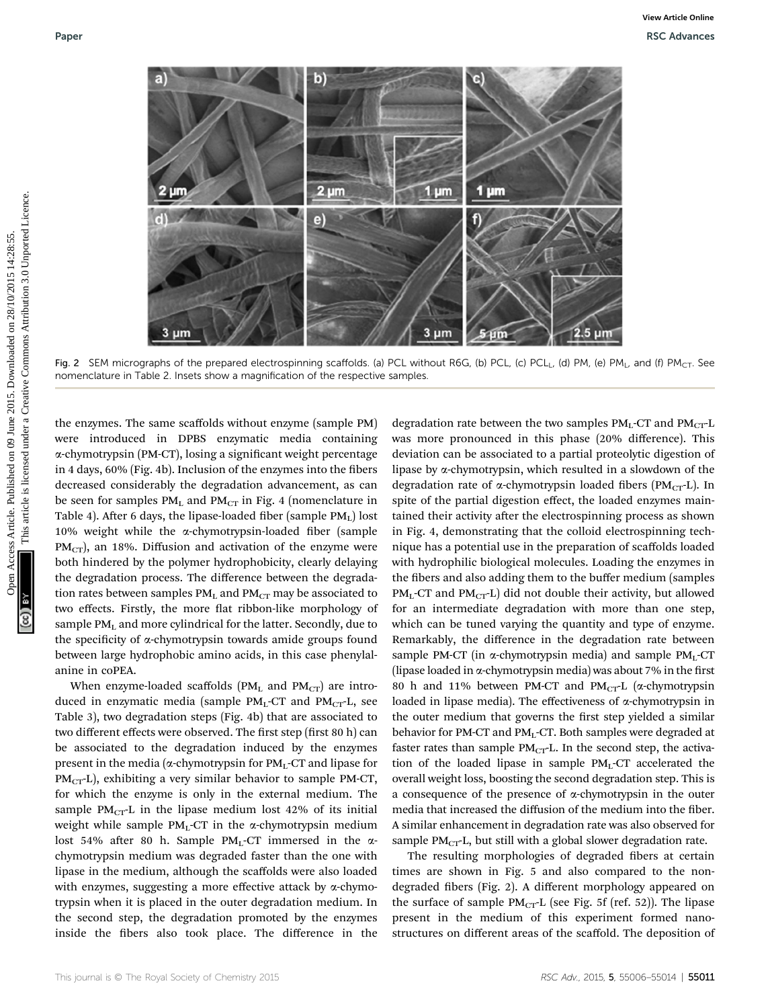

Fig. 2 SEM micrographs of the prepared electrospinning scaffolds. (a) PCL without R6G, (b) PCL, (c) PCL<sub>L</sub>, (d) PM, (e) PM<sub>L</sub>, and (f) PM<sub>CT</sub>. See nomenclature in Table 2. Insets show a magnification of the respective samples.

the enzymes. The same scaffolds without enzyme (sample PM) were introduced in DPBS enzymatic media containing a-chymotrypsin (PM-CT), losing a signicant weight percentage in 4 days, 60% (Fig. 4b). Inclusion of the enzymes into the fibers decreased considerably the degradation advancement, as can be seen for samples  $PM<sub>L</sub>$  and  $PM<sub>CT</sub>$  in Fig. 4 (nomenclature in Table 4). After 6 days, the lipase-loaded fiber (sample  $PM<sub>L</sub>$ ) lost 10% weight while the  $\alpha$ -chymotrypsin-loaded fiber (sample  $PM_{CT}$ , an 18%. Diffusion and activation of the enzyme were both hindered by the polymer hydrophobicity, clearly delaying the degradation process. The difference between the degradation rates between samples  $PM<sub>L</sub>$  and  $PM<sub>CT</sub>$  may be associated to two effects. Firstly, the more flat ribbon-like morphology of sample PM<sub>L</sub> and more cylindrical for the latter. Secondly, due to the specificity of  $\alpha$ -chymotrypsin towards amide groups found between large hydrophobic amino acids, in this case phenylalanine in coPEA.

When enzyme-loaded scaffolds ( $PM<sub>L</sub>$  and  $PM<sub>CT</sub>$ ) are introduced in enzymatic media (sample  $PM_L$ -CT and  $PM_{CT}$ -L, see Table 3), two degradation steps (Fig. 4b) that are associated to two different effects were observed. The first step (first 80 h) can be associated to the degradation induced by the enzymes present in the media ( $\alpha$ -chymotrypsin for PM<sub>L</sub>-CT and lipase for  $PM_{CT}L$ ), exhibiting a very similar behavior to sample PM-CT, for which the enzyme is only in the external medium. The sample PM<sub>CT</sub>-L in the lipase medium lost 42% of its initial weight while sample  $PM_L$ -CT in the  $\alpha$ -chymotrypsin medium lost 54% after 80 h. Sample PM<sub>L</sub>-CT immersed in the  $\alpha$ chymotrypsin medium was degraded faster than the one with lipase in the medium, although the scaffolds were also loaded with enzymes, suggesting a more effective attack by  $\alpha$ -chymotrypsin when it is placed in the outer degradation medium. In the second step, the degradation promoted by the enzymes inside the fibers also took place. The difference in the

degradation rate between the two samples  $PM_L$ -CT and  $PM_{CT}$ -L was more pronounced in this phase (20% difference). This deviation can be associated to a partial proteolytic digestion of lipase by a-chymotrypsin, which resulted in a slowdown of the degradation rate of  $\alpha$ -chymotrypsin loaded fibers (PM<sub>CT</sub>-L). In spite of the partial digestion effect, the loaded enzymes maintained their activity after the electrospinning process as shown in Fig. 4, demonstrating that the colloid electrospinning technique has a potential use in the preparation of scaffolds loaded with hydrophilic biological molecules. Loading the enzymes in the fibers and also adding them to the buffer medium (samples  $PM<sub>L</sub>-CT$  and  $PM<sub>CT</sub>-L$ ) did not double their activity, but allowed for an intermediate degradation with more than one step, which can be tuned varying the quantity and type of enzyme. Remarkably, the difference in the degradation rate between sample PM-CT (in  $\alpha$ -chymotrypsin media) and sample PM<sub>L</sub>-CT (lipase loaded in  $\alpha$ -chymotrypsin media) was about 7% in the first 80 h and 11% between PM-CT and PM<sub>CT</sub>-L ( $\alpha$ -chymotrypsin loaded in lipase media). The effectiveness of  $\alpha$ -chymotrypsin in the outer medium that governs the first step yielded a similar behavior for PM-CT and  $PM<sub>L</sub>-CT$ . Both samples were degraded at faster rates than sample  $PM_{CT}L$ . In the second step, the activation of the loaded lipase in sample  $PM<sub>L</sub>$ -CT accelerated the overall weight loss, boosting the second degradation step. This is a consequence of the presence of  $\alpha$ -chymotrypsin in the outer media that increased the diffusion of the medium into the fiber. A similar enhancement in degradation rate was also observed for sample PM $_{CT}$ -L, but still with a global slower degradation rate.

The resulting morphologies of degraded fibers at certain times are shown in Fig. 5 and also compared to the nondegraded fibers (Fig. 2). A different morphology appeared on the surface of sample  $PM_{CT}L$  (see Fig. 5f (ref. 52)). The lipase present in the medium of this experiment formed nanostructures on different areas of the scaffold. The deposition of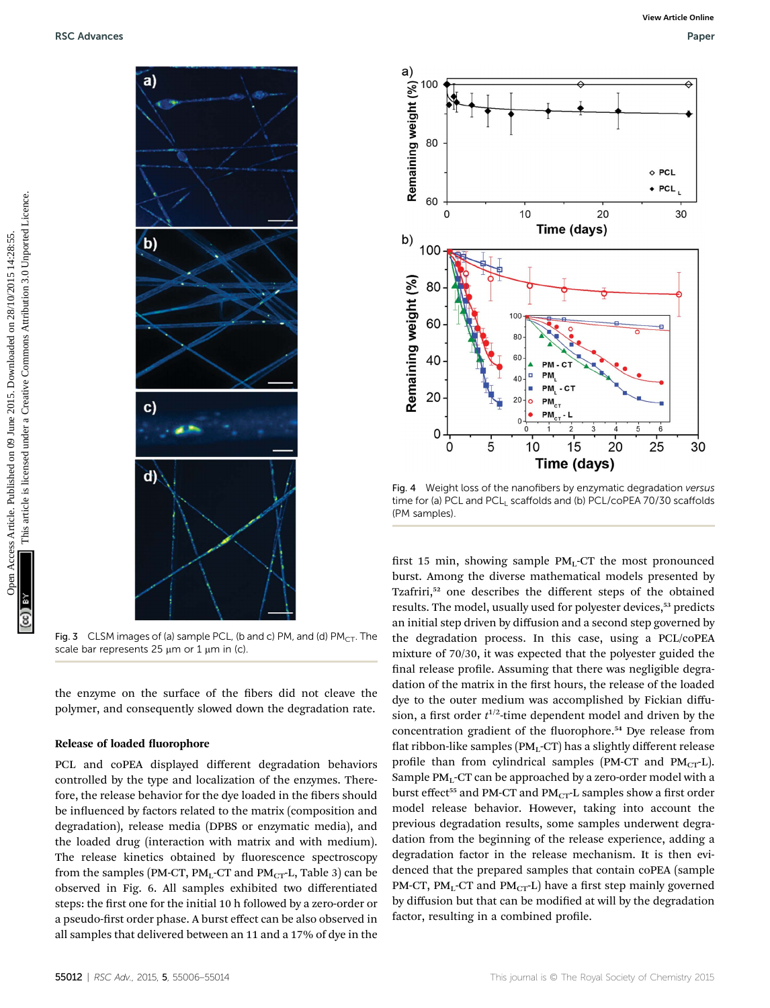

Fig. 3 CLSM images of (a) sample PCL, (b and c) PM, and (d)  $PM_{CT}$ . The scale bar represents 25  $\mu$ m or 1  $\mu$ m in (c).

the enzyme on the surface of the fibers did not cleave the polymer, and consequently slowed down the degradation rate.

#### Release of loaded fluorophore

PCL and coPEA displayed different degradation behaviors controlled by the type and localization of the enzymes. Therefore, the release behavior for the dye loaded in the fibers should be influenced by factors related to the matrix (composition and degradation), release media (DPBS or enzymatic media), and the loaded drug (interaction with matrix and with medium). The release kinetics obtained by fluorescence spectroscopy from the samples (PM-CT,  $PM<sub>L</sub>-CT$  and  $PM<sub>CT</sub>-L$ , Table 3) can be observed in Fig. 6. All samples exhibited two differentiated steps: the first one for the initial 10 h followed by a zero-order or a pseudo-first order phase. A burst effect can be also observed in all samples that delivered between an 11 and a 17% of dye in the



Fig. 4 Weight loss of the nanofibers by enzymatic degradation versus time for (a) PCL and PCL<sub>I</sub> scaffolds and (b) PCL/coPEA 70/30 scaffolds (PM samples).

first 15 min, showing sample  $PM_L$ -CT the most pronounced burst. Among the diverse mathematical models presented by Tzafriri,<sup>52</sup> one describes the different steps of the obtained results. The model, usually used for polyester devices,<sup>53</sup> predicts an initial step driven by diffusion and a second step governed by the degradation process. In this case, using a PCL/coPEA mixture of 70/30, it was expected that the polyester guided the final release profile. Assuming that there was negligible degradation of the matrix in the first hours, the release of the loaded dye to the outer medium was accomplished by Fickian diffusion, a first order  $t^{1/2}$ -time dependent model and driven by the concentration gradient of the fluorophore.<sup>54</sup> Dye release from flat ribbon-like samples ( $PM<sub>L</sub>-CT$ ) has a slightly different release profile than from cylindrical samples (PM-CT and  $PM_{CT}$ -L). Sample  $PM<sub>L</sub>$ -CT can be approached by a zero-order model with a burst effect<sup>55</sup> and PM-CT and PM<sub>CT</sub>-L samples show a first order model release behavior. However, taking into account the previous degradation results, some samples underwent degradation from the beginning of the release experience, adding a degradation factor in the release mechanism. It is then evidenced that the prepared samples that contain coPEA (sample PM-CT,  $PM<sub>L</sub>-CT$  and  $PM<sub>CT</sub>-L$ ) have a first step mainly governed by diffusion but that can be modified at will by the degradation factor, resulting in a combined profile.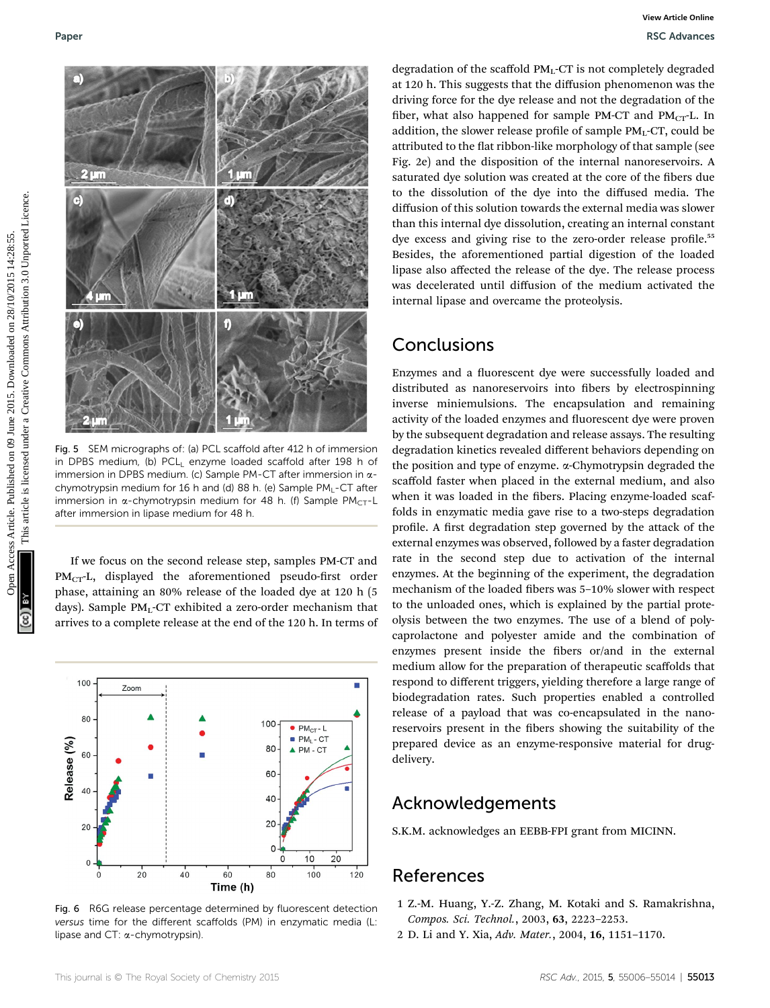

Fig. 5 SEM micrographs of: (a) PCL scaffold after 412 h of immersion in DPBS medium, (b) PCL, enzyme loaded scaffold after 198 h of immersion in DPBS medium. (c) Sample PM-CT after immersion in achymotrypsin medium for 16 h and (d) 88 h. (e) Sample PM $_1$ -CT after immersion in  $\alpha$ -chymotrypsin medium for 48 h. (f) Sample PM $_{CT}$ -L after immersion in lipase medium for 48 h.

If we focus on the second release step, samples PM-CT and  $PM_{CT}$ -L, displayed the aforementioned pseudo-first order phase, attaining an 80% release of the loaded dye at 120 h (5 days). Sample  $PM_L$ -CT exhibited a zero-order mechanism that arrives to a complete release at the end of the 120 h. In terms of



Fig. 6 R6G release percentage determined by fluorescent detection versus time for the different scaffolds (PM) in enzymatic media (L: lipase and CT: a-chymotrypsin).

degradation of the scaffold PML-CT is not completely degraded at 120 h. This suggests that the diffusion phenomenon was the driving force for the dye release and not the degradation of the fiber, what also happened for sample PM-CT and  $PM_{CT}$ -L. In addition, the slower release profile of sample  $PM<sub>L</sub>-CT$ , could be attributed to the flat ribbon-like morphology of that sample (see Fig. 2e) and the disposition of the internal nanoreservoirs. A saturated dye solution was created at the core of the fibers due to the dissolution of the dye into the diffused media. The diffusion of this solution towards the external media was slower than this internal dye dissolution, creating an internal constant dye excess and giving rise to the zero-order release profile.<sup>55</sup> Besides, the aforementioned partial digestion of the loaded lipase also affected the release of the dye. The release process was decelerated until diffusion of the medium activated the internal lipase and overcame the proteolysis.

# **Conclusions**

Enzymes and a fluorescent dye were successfully loaded and distributed as nanoreservoirs into fibers by electrospinning inverse miniemulsions. The encapsulation and remaining activity of the loaded enzymes and fluorescent dye were proven by the subsequent degradation and release assays. The resulting degradation kinetics revealed different behaviors depending on the position and type of enzyme. a-Chymotrypsin degraded the scaffold faster when placed in the external medium, and also when it was loaded in the fibers. Placing enzyme-loaded scaffolds in enzymatic media gave rise to a two-steps degradation profile. A first degradation step governed by the attack of the external enzymes was observed, followed by a faster degradation rate in the second step due to activation of the internal enzymes. At the beginning of the experiment, the degradation mechanism of the loaded fibers was 5-10% slower with respect to the unloaded ones, which is explained by the partial proteolysis between the two enzymes. The use of a blend of polycaprolactone and polyester amide and the combination of enzymes present inside the fibers or/and in the external medium allow for the preparation of therapeutic scaffolds that respond to different triggers, yielding therefore a large range of biodegradation rates. Such properties enabled a controlled release of a payload that was co-encapsulated in the nanoreservoirs present in the fibers showing the suitability of the prepared device as an enzyme-responsive material for drugdelivery.

# Acknowledgements

S.K.M. acknowledges an EEBB-FPI grant from MICINN.

# References

- 1 Z.-M. Huang, Y.-Z. Zhang, M. Kotaki and S. Ramakrishna, Compos. Sci. Technol., 2003, 63, 2223–2253.
- 2 D. Li and Y. Xia, Adv. Mater., 2004, 16, 1151–1170.